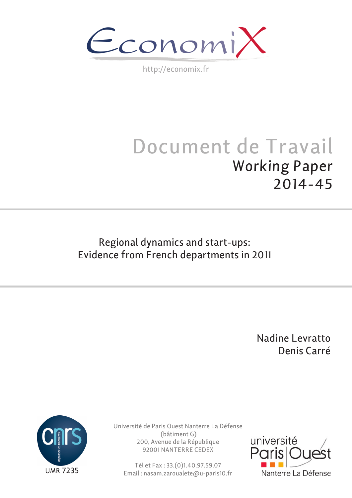$\epsilon$ conomi)

http://economix.fr

# Document de Travail Working Paper 2014-45

### Regional dynamics and start-ups: Evidence from French departments in 2011

 Nadine Levratto Denis Carré



Université de Paris Ouest Nanterre La Défense (bâtiment G) 200, Avenue de la République 92001 NANTERRE CEDEX

Tél et Fax : 33.(0)1.40.97.59.07 Email : nasam.zaroualete@u-paris10.fr

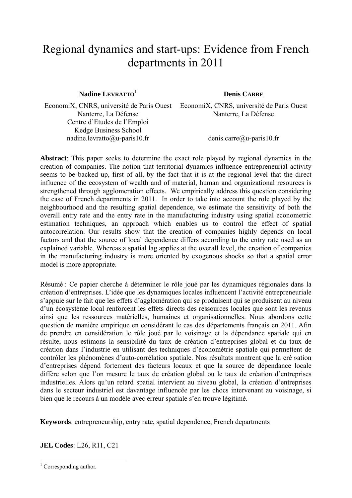## Regional dynamics and start-ups: Evidence from French departments in 2011

**Nadine LEVRATTO**<sup>1</sup> **Denis CARRE** 

Nanterre, La Défense Centre d'Etudes de l'Emploi Kedge Business School nadine.levratto@u-paris10.fr

EconomiX, CNRS, université de Paris Ouest EconomiX, CNRS, université de Paris Ouest Nanterre, La Défense

denis.carre@u-paris10.fr

**Abstract**: This paper seeks to determine the exact role played by regional dynamics in the creation of companies. The notion that territorial dynamics influence entrepreneurial activity seems to be backed up, first of all, by the fact that it is at the regional level that the direct influence of the ecosystem of wealth and of material, human and organizational resources is strengthened through agglomeration effects. We empirically address this question considering the case of French departments in 2011. In order to take into account the role played by the neighbourhood and the resulting spatial dependence, we estimate the sensitivity of both the overall entry rate and the entry rate in the manufacturing industry using spatial econometric estimation techniques, an approach which enables us to control the effect of spatial autocorrelation. Our results show that the creation of companies highly depends on local factors and that the source of local dependence differs according to the entry rate used as an explained variable. Whereas a spatial lag applies at the overall level, the creation of companies in the manufacturing industry is more oriented by exogenous shocks so that a spatial error model is more appropriate.

Résumé : Ce papier cherche à déterminer le rôle joué par les dynamiques régionales dans la création d'entreprises. L'idée que les dynamiques locales influencent l'activité entrepreneuriale s'appuie sur le fait que les effets d'agglomération qui se produisent qui se produisent au niveau d'un écosystème local renforcent les effets directs des ressources locales que sont les revenus ainsi que les ressources matérielles, humaines et organisationnelles. Nous abordons cette question de manière empirique en considérant le cas des départements français en 2011. Afin de prendre en considération le rôle joué par le voisinage et la dépendance spatiale qui en résulte, nous estimons la sensibilité du taux de création d'entreprises global et du taux de création dans l'industrie en utilisant des techniques d'économétrie spatiale qui permettent de contrôler les phénomènes d'auto-corrélation spatiale. Nos résultats montrent que la cré »ation d'entreprises dépend fortement des facteurs locaux et que la source de dépendance locale diffère selon que l'on mesure le taux de création global ou le taux de création d'entreprises industrielles. Alors qu'un retard spatial intervient au niveau global, la création d'entreprises dans le secteur industriel est davantage influencée par les chocs intervenant au voisinage, si bien que le recours à un modèle avec erreur spatiale s'en trouve légitimé.

**Keywords**: entrepreneurship, entry rate, spatial dependence, French departments

**JEL Codes**: L26, R11, C21

<sup>&</sup>lt;sup>1</sup> Corresponding author.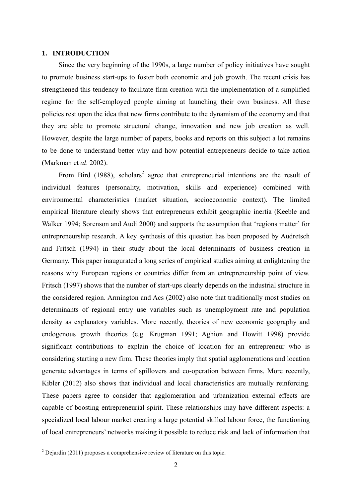#### **1. INTRODUCTION**

Since the very beginning of the 1990s, a large number of policy initiatives have sought to promote business start-ups to foster both economic and job growth. The recent crisis has strengthened this tendency to facilitate firm creation with the implementation of a simplified regime for the self-employed people aiming at launching their own business. All these policies rest upon the idea that new firms contribute to the dynamism of the economy and that they are able to promote structural change, innovation and new job creation as well. However, despite the large number of papers, books and reports on this subject a lot remains to be done to understand better why and how potential entrepreneurs decide to take action (Markman et *al*. 2002).

From Bird (1988), scholars<sup>2</sup> agree that entrepreneurial intentions are the result of individual features (personality, motivation, skills and experience) combined with environmental characteristics (market situation, socioeconomic context). The limited empirical literature clearly shows that entrepreneurs exhibit geographic inertia (Keeble and Walker 1994; Sorenson and Audi 2000) and supports the assumption that 'regions matter' for entrepreneurship research. A key synthesis of this question has been proposed by Audretsch and Fritsch (1994) in their study about the local determinants of business creation in Germany. This paper inaugurated a long series of empirical studies aiming at enlightening the reasons why European regions or countries differ from an entrepreneurship point of view. Fritsch (1997) shows that the number of start-ups clearly depends on the industrial structure in the considered region. Armington and Acs (2002) also note that traditionally most studies on determinants of regional entry use variables such as unemployment rate and population density as explanatory variables. More recently, theories of new economic geography and endogenous growth theories (e.g. Krugman 1991; Aghion and Howitt 1998) provide significant contributions to explain the choice of location for an entrepreneur who is considering starting a new firm. These theories imply that spatial agglomerations and location generate advantages in terms of spillovers and co-operation between firms. More recently, Kibler (2012) also shows that individual and local characteristics are mutually reinforcing. These papers agree to consider that agglomeration and urbanization external effects are capable of boosting entrepreneurial spirit. These relationships may have different aspects: a specialized local labour market creating a large potential skilled labour force, the functioning of local entrepreneurs' networks making it possible to reduce risk and lack of information that

<sup>&</sup>lt;sup>2</sup> Dejardin (2011) proposes a comprehensive review of literature on this topic.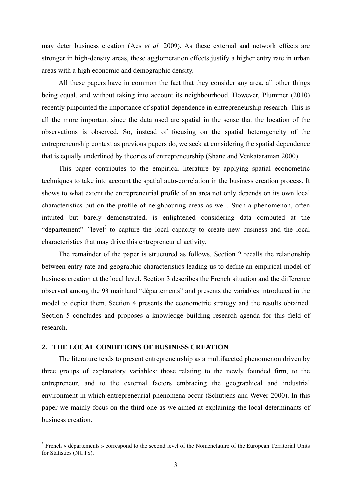may deter business creation (Acs *et al.* 2009). As these external and network effects are stronger in high-density areas, these agglomeration effects justify a higher entry rate in urban areas with a high economic and demographic density.

All these papers have in common the fact that they consider any area, all other things being equal, and without taking into account its neighbourhood. However, Plummer (2010) recently pinpointed the importance of spatial dependence in entrepreneurship research. This is all the more important since the data used are spatial in the sense that the location of the observations is observed. So, instead of focusing on the spatial heterogeneity of the entrepreneurship context as previous papers do, we seek at considering the spatial dependence that is equally underlined by theories of entrepreneurship (Shane and Venkataraman 2000)

This paper contributes to the empirical literature by applying spatial econometric techniques to take into account the spatial auto-correlation in the business creation process. It shows to what extent the entrepreneurial profile of an area not only depends on its own local characteristics but on the profile of neighbouring areas as well. Such a phenomenon, often intuited but barely demonstrated, is enlightened considering data computed at the "département" "level<sup>3</sup> to capture the local capacity to create new business and the local characteristics that may drive this entrepreneurial activity.

The remainder of the paper is structured as follows. Section 2 recalls the relationship between entry rate and geographic characteristics leading us to define an empirical model of business creation at the local level. Section 3 describes the French situation and the difference observed among the 93 mainland "départements" and presents the variables introduced in the model to depict them. Section 4 presents the econometric strategy and the results obtained. Section 5 concludes and proposes a knowledge building research agenda for this field of research.

#### **2. THE LOCAL CONDITIONS OF BUSINESS CREATION**

1

The literature tends to present entrepreneurship as a multifaceted phenomenon driven by three groups of explanatory variables: those relating to the newly founded firm, to the entrepreneur, and to the external factors embracing the geographical and industrial environment in which entrepreneurial phenomena occur (Schutjens and Wever 2000). In this paper we mainly focus on the third one as we aimed at explaining the local determinants of business creation.

<sup>&</sup>lt;sup>3</sup> French « départements » correspond to the second level of the Nomenclature of the European Territorial Units for Statistics (NUTS).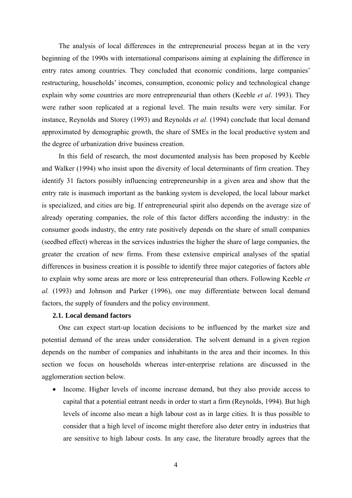The analysis of local differences in the entrepreneurial process began at in the very beginning of the 1990s with international comparisons aiming at explaining the difference in entry rates among countries. They concluded that economic conditions, large companies' restructuring, households' incomes, consumption, economic policy and technological change explain why some countries are more entrepreneurial than others (Keeble *et al*. 1993). They were rather soon replicated at a regional level. The main results were very similar. For instance, Reynolds and Storey (1993) and Reynolds *et al.* (1994) conclude that local demand approximated by demographic growth, the share of SMEs in the local productive system and the degree of urbanization drive business creation.

In this field of research, the most documented analysis has been proposed by Keeble and Walker (1994) who insist upon the diversity of local determinants of firm creation. They identify 31 factors possibly influencing entrepreneurship in a given area and show that the entry rate is inasmuch important as the banking system is developed, the local labour market is specialized, and cities are big. If entrepreneurial spirit also depends on the average size of already operating companies, the role of this factor differs according the industry: in the consumer goods industry, the entry rate positively depends on the share of small companies (seedbed effect) whereas in the services industries the higher the share of large companies, the greater the creation of new firms. From these extensive empirical analyses of the spatial differences in business creation it is possible to identify three major categories of factors able to explain why some areas are more or less entrepreneurial than others. Following Keeble *et al.* (1993) and Johnson and Parker (1996), one may differentiate between local demand factors, the supply of founders and the policy environment.

#### **2.1. Local demand factors**

One can expect start-up location decisions to be influenced by the market size and potential demand of the areas under consideration. The solvent demand in a given region depends on the number of companies and inhabitants in the area and their incomes. In this section we focus on households whereas inter-enterprise relations are discussed in the agglomeration section below.

• Income. Higher levels of income increase demand, but they also provide access to capital that a potential entrant needs in order to start a firm (Reynolds, 1994). But high levels of income also mean a high labour cost as in large cities. It is thus possible to consider that a high level of income might therefore also deter entry in industries that are sensitive to high labour costs. In any case, the literature broadly agrees that the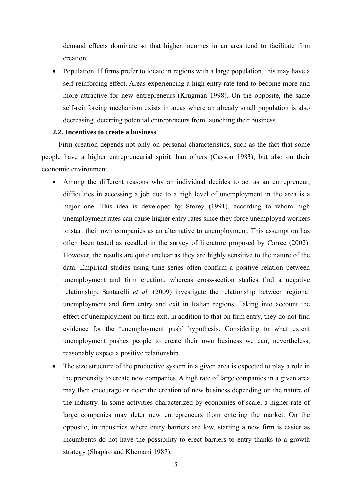demand effects dominate so that higher incomes in an area tend to facilitate firm creation.

• Population. If firms prefer to locate in regions with a large population, this may have a self-reinforcing effect. Areas experiencing a high entry rate tend to become more and more attractive for new entrepreneurs (Krugman 1998). On the opposite, the same self-reinforcing mechanism exists in areas where an already small population is also decreasing, deterring potential entrepreneurs from launching their business.

#### **2.2. Incentives to create a business**

Firm creation depends not only on personal characteristics, such as the fact that some people have a higher entrepreneurial spirit than others (Casson 1983), but also on their economic environment.

- Among the different reasons why an individual decides to act as an entrepreneur, difficulties in accessing a job due to a high level of unemployment in the area is a major one. This idea is developed by Storey (1991), according to whom high unemployment rates can cause higher entry rates since they force unemployed workers to start their own companies as an alternative to unemployment. This assumption has often been tested as recalled in the survey of literature proposed by Carree (2002). However, the results are quite unclear as they are highly sensitive to the nature of the data. Empirical studies using time series often confirm a positive relation between unemployment and firm creation, whereas cross-section studies find a negative relationship. Santarelli *et al.* (2009) investigate the relationship between regional unemployment and firm entry and exit in Italian regions. Taking into account the effect of unemployment on firm exit, in addition to that on firm entry, they do not find evidence for the 'unemployment push' hypothesis. Considering to what extent unemployment pushes people to create their own business we can, nevertheless, reasonably expect a positive relationship.
- The size structure of the productive system in a given area is expected to play a role in the propensity to create new companies. A high rate of large companies in a given area may then encourage or deter the creation of new business depending on the nature of the industry. In some activities characterized by economies of scale, a higher rate of large companies may deter new entrepreneurs from entering the market. On the opposite, in industries where entry barriers are low, starting a new firm is easier as incumbents do not have the possibility to erect barriers to entry thanks to a growth strategy (Shapiro and Khemani 1987).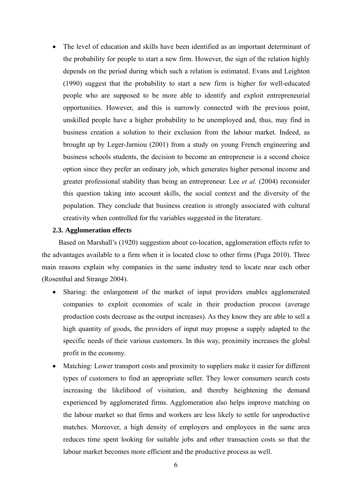The level of education and skills have been identified as an important determinant of the probability for people to start a new firm. However, the sign of the relation highly depends on the period during which such a relation is estimated. Evans and Leighton (1990) suggest that the probability to start a new firm is higher for well-educated people who are supposed to be more able to identify and exploit entrepreneurial opportunities. However, and this is narrowly connected with the previous point, unskilled people have a higher probability to be unemployed and, thus, may find in business creation a solution to their exclusion from the labour market. Indeed, as brought up by Leger-Jarniou (2001) from a study on young French engineering and business schools students, the decision to become an entrepreneur is a second choice option since they prefer an ordinary job, which generates higher personal income and greater professional stability than being an entrepreneur. Lee *et al.* (2004) reconsider this question taking into account skills, the social context and the diversity of the population. They conclude that business creation is strongly associated with cultural creativity when controlled for the variables suggested in the literature.

#### **2.3. Agglomeration effects**

Based on Marshall's (1920) suggestion about co-location, agglomeration effects refer to the advantages available to a firm when it is located close to other firms (Puga 2010). Three main reasons explain why companies in the same industry tend to locate near each other (Rosenthal and Strange 2004).

- Sharing: the enlargement of the market of input providers enables agglomerated companies to exploit economies of scale in their production process (average production costs decrease as the output increases). As they know they are able to sell a high quantity of goods, the providers of input may propose a supply adapted to the specific needs of their various customers. In this way, proximity increases the global profit in the economy.
- Matching: Lower transport costs and proximity to suppliers make it easier for different types of customers to find an appropriate seller. They lower consumers search costs increasing the likelihood of visitation, and thereby heightening the demand experienced by agglomerated firms. Agglomeration also helps improve matching on the labour market so that firms and workers are less likely to settle for unproductive matches. Moreover, a high density of employers and employees in the same area reduces time spent looking for suitable jobs and other transaction costs so that the labour market becomes more efficient and the productive process as well.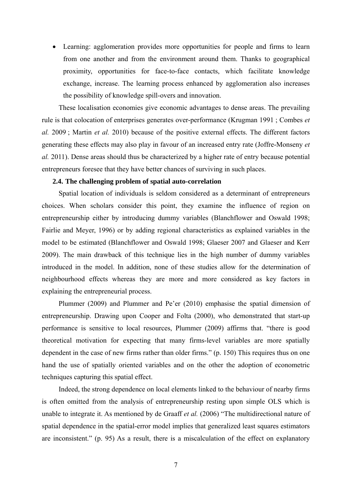Learning: agglomeration provides more opportunities for people and firms to learn from one another and from the environment around them. Thanks to geographical proximity, opportunities for face-to-face contacts, which facilitate knowledge exchange, increase. The learning process enhanced by agglomeration also increases the possibility of knowledge spill-overs and innovation.

These localisation economies give economic advantages to dense areas. The prevailing rule is that colocation of enterprises generates over-performance (Krugman 1991 ; Combes *et al.* 2009 ; Martin *et al.* 2010) because of the positive external effects. The different factors generating these effects may also play in favour of an increased entry rate (Joffre-Monseny *et al.* 2011). Dense areas should thus be characterized by a higher rate of entry because potential entrepreneurs foresee that they have better chances of surviving in such places.

#### **2.4. The challenging problem of spatial auto-correlation**

Spatial location of individuals is seldom considered as a determinant of entrepreneurs choices. When scholars consider this point, they examine the influence of region on entrepreneurship either by introducing dummy variables (Blanchflower and Oswald 1998; Fairlie and Meyer, 1996) or by adding regional characteristics as explained variables in the model to be estimated (Blanchflower and Oswald 1998; Glaeser 2007 and Glaeser and Kerr 2009). The main drawback of this technique lies in the high number of dummy variables introduced in the model. In addition, none of these studies allow for the determination of neighbourhood effects whereas they are more and more considered as key factors in explaining the entrepreneurial process.

Plummer (2009) and Plummer and Pe'er (2010) emphasise the spatial dimension of entrepreneurship. Drawing upon Cooper and Folta (2000), who demonstrated that start-up performance is sensitive to local resources, Plummer (2009) affirms that. "there is good theoretical motivation for expecting that many firms-level variables are more spatially dependent in the case of new firms rather than older firms." (p. 150) This requires thus on one hand the use of spatially oriented variables and on the other the adoption of econometric techniques capturing this spatial effect.

Indeed, the strong dependence on local elements linked to the behaviour of nearby firms is often omitted from the analysis of entrepreneurship resting upon simple OLS which is unable to integrate it. As mentioned by de Graaff *et al.* (2006) "The multidirectional nature of spatial dependence in the spatial-error model implies that generalized least squares estimators are inconsistent." (p. 95) As a result, there is a miscalculation of the effect on explanatory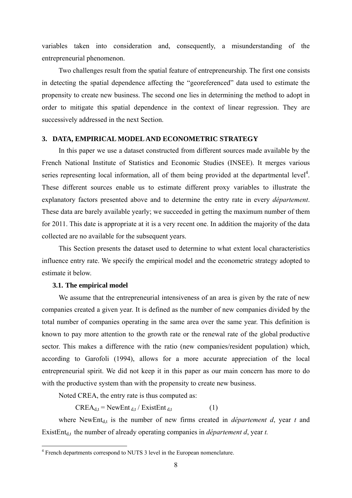variables taken into consideration and, consequently, a misunderstanding of the entrepreneurial phenomenon.

Two challenges result from the spatial feature of entrepreneurship. The first one consists in detecting the spatial dependence affecting the "georeferenced" data used to estimate the propensity to create new business. The second one lies in determining the method to adopt in order to mitigate this spatial dependence in the context of linear regression. They are successively addressed in the next Section.

#### **3. DATA, EMPIRICAL MODEL AND ECONOMETRIC STRATEGY**

In this paper we use a dataset constructed from different sources made available by the French National Institute of Statistics and Economic Studies (INSEE). It merges various series representing local information, all of them being provided at the departmental level $4$ . These different sources enable us to estimate different proxy variables to illustrate the explanatory factors presented above and to determine the entry rate in every *département*. These data are barely available yearly; we succeeded in getting the maximum number of them for 2011. This date is appropriate at it is a very recent one. In addition the majority of the data collected are no available for the subsequent years.

This Section presents the dataset used to determine to what extent local characteristics influence entry rate. We specify the empirical model and the econometric strategy adopted to estimate it below.

#### **3.1. The empirical model**

We assume that the entrepreneurial intensiveness of an area is given by the rate of new companies created a given year. It is defined as the number of new companies divided by the total number of companies operating in the same area over the same year. This definition is known to pay more attention to the growth rate or the renewal rate of the global productive sector. This makes a difference with the ratio (new companies/resident population) which, according to Garofoli (1994), allows for a more accurate appreciation of the local entrepreneurial spirit. We did not keep it in this paper as our main concern has more to do with the productive system than with the propensity to create new business.

Noted CREA, the entry rate is thus computed as:

 $CREA_{d,t} = NewEnt_{d,t} / ExistEnt_{d,t}$  (1)

where NewEnt<sub>dt</sub> is the number of new firms created in *département d*, year t and ExistEnt<sub>d,t</sub> the number of already operating companies in *département d*, year *t*.

 4 French departments correspond to NUTS 3 level in the European nomenclature.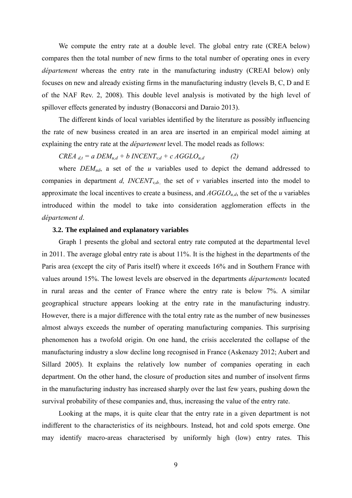We compute the entry rate at a double level. The global entry rate (CREA below) compares then the total number of new firms to the total number of operating ones in every *département* whereas the entry rate in the manufacturing industry (CREAI below) only focuses on new and already existing firms in the manufacturing industry (levels B, C, D and E of the NAF Rev. 2, 2008). This double level analysis is motivated by the high level of spillover effects generated by industry (Bonaccorsi and Daraio 2013).

The different kinds of local variables identified by the literature as possibly influencing the rate of new business created in an area are inserted in an empirical model aiming at explaining the entry rate at the *département* level. The model reads as follows:

*CREA*  $d_{d,t} = a$  *DEM*<sub>*u,d</sub>* + *b INCENT*<sub>*v,d</sub>* + *c AGGLO*<sub>*u,d*</sub> (2)</sub></sub>

where *DEM<sub>ud</sub>*, a set of the *u* variables used to depict the demand addressed to companies in department *d, INCENT<sub>v,d</sub>*, the set of *v* variables inserted into the model to approximate the local incentives to create a business, and  $AGGLO_{ud}$ , the set of the *u* variables introduced within the model to take into consideration agglomeration effects in the *département d*.

### **3.2. The explained and explanatory variables**

Graph 1 presents the global and sectoral entry rate computed at the departmental level in 2011. The average global entry rate is about 11%. It is the highest in the departments of the Paris area (except the city of Paris itself) where it exceeds 16% and in Southern France with values around 15%. The lowest levels are observed in the departments *départements* located in rural areas and the center of France where the entry rate is below 7%. A similar geographical structure appears looking at the entry rate in the manufacturing industry. However, there is a major difference with the total entry rate as the number of new businesses almost always exceeds the number of operating manufacturing companies. This surprising phenomenon has a twofold origin. On one hand, the crisis accelerated the collapse of the manufacturing industry a slow decline long recognised in France (Askenazy 2012; Aubert and Sillard 2005). It explains the relatively low number of companies operating in each department. On the other hand, the closure of production sites and number of insolvent firms in the manufacturing industry has increased sharply over the last few years, pushing down the survival probability of these companies and, thus, increasing the value of the entry rate.

Looking at the maps, it is quite clear that the entry rate in a given department is not indifferent to the characteristics of its neighbours. Instead, hot and cold spots emerge. One may identify macro-areas characterised by uniformly high (low) entry rates. This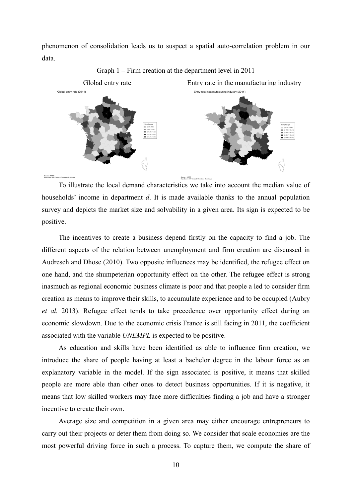phenomenon of consolidation leads us to suspect a spatial auto-correlation problem in our data.



Graph 1 – Firm creation at the department level in 2011

To illustrate the local demand characteristics we take into account the median value of households' income in department *d*. It is made available thanks to the annual population survey and depicts the market size and solvability in a given area. Its sign is expected to be positive.

The incentives to create a business depend firstly on the capacity to find a job. The different aspects of the relation between unemployment and firm creation are discussed in Audresch and Dhose (2010). Two opposite influences may be identified, the refugee effect on one hand, and the shumpeterian opportunity effect on the other. The refugee effect is strong inasmuch as regional economic business climate is poor and that people a led to consider firm creation as means to improve their skills, to accumulate experience and to be occupied (Aubry *et al.* 2013). Refugee effect tends to take precedence over opportunity effect during an economic slowdown. Due to the economic crisis France is still facing in 2011, the coefficient associated with the variable *UNEMPL* is expected to be positive.

As education and skills have been identified as able to influence firm creation, we introduce the share of people having at least a bachelor degree in the labour force as an explanatory variable in the model. If the sign associated is positive, it means that skilled people are more able than other ones to detect business opportunities. If it is negative, it means that low skilled workers may face more difficulties finding a job and have a stronger incentive to create their own.

Average size and competition in a given area may either encourage entrepreneurs to carry out their projects or deter them from doing so. We consider that scale economies are the most powerful driving force in such a process. To capture them, we compute the share of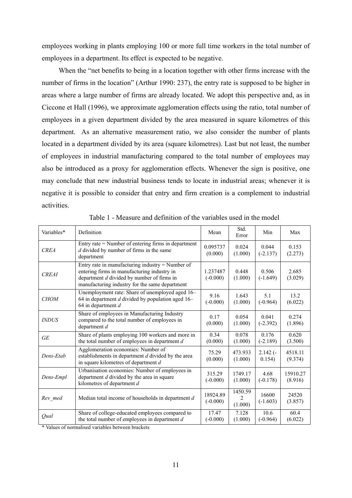employees working in plants employing 100 or more full time workers in the total number of employees in a department. Its effect is expected to be negative.

When the "net benefits to being in a location together with other firms increase with the number of firms in the location" (Arthur 1990: 237), the entry rate is supposed to be higher in areas where a large number of firms are already located. We adopt this perspective and, as in Ciccone et Hall (1996), we approximate agglomeration effects using the ratio, total number of employees in a given department divided by the area measured in square kilometres of this department. As an alternative measurement ratio, we also consider the number of plants located in a department divided by its area (square kilometres). Last but not least, the number of employees in industrial manufacturing compared to the total number of employees may also be introduced as a proxy for agglomeration effects. Whenever the sign is positive, one may conclude that new industrial business tends to locate in industrial areas; whenever it is negative it is possible to consider that entry and firm creation is a complement to industrial activities.

| Variables*          | Definition                                                                                                                                                                                          | Mean                   | Std.<br>Error      | Min                  | Max                 |
|---------------------|-----------------------------------------------------------------------------------------------------------------------------------------------------------------------------------------------------|------------------------|--------------------|----------------------|---------------------|
| <b>CREA</b>         | Entry rate $=$ Number of entering firms in department<br>$d$ divided by number of firms in the same<br>department                                                                                   | 0.095737<br>(0.000)    | 0.024<br>(1.000)   | 0.044<br>$(-2.137)$  | 0.153<br>(2.273)    |
| <b>CREAI</b>        | Entry rate in manufacturing industry $=$ Number of<br>entering firms in manufacturing industry in<br>department $d$ divided by number of firms in<br>manufacturing industry for the same department | 1.237487<br>$(-0.000)$ | 0.448<br>(1.000)   | 0.506<br>$(-1.649)$  | 2.685<br>(3.029)    |
| <b>CHOM</b>         | Unemployment rate: Share of unemployed aged 16-<br>64 in department $d$ divided by population aged 16–<br>64 in department $d$                                                                      | 9.16<br>$(-0.000)$     | 1.643<br>(1.000)   | 5.1<br>$(-0.964)$    | 13.2<br>(6.022)     |
| <i><b>INDUS</b></i> | Share of employees in Manufacturing Industry<br>compared to the total number of employees in<br>department $d$                                                                                      | 0.17<br>(0.000)        | 0.054<br>(1.000)   | 0.041<br>$(-2.392)$  | 0.274<br>(1.896)    |
| <b>GE</b>           | Share of plants employing 100 workers and more in<br>the total number of employees in department $d$                                                                                                | 0.34<br>(0.000)        | 0.078<br>(1.000)   | 0.176<br>$(-2.189)$  | 0.620<br>(3.500)    |
| Dens-Etab           | Agglomeration economies: Number of<br>establishments in department d divided by the area<br>in square kilometres of department d                                                                    | 75.29<br>(0.000)       | 473.933<br>(1.000) | $2.142$ (-<br>0.154) | 4518.11<br>(9.374)  |
| Dens-Empl           | Urbanisation economies: Number of employees in<br>department $d$ divided by the area in square<br>kilometres of department d                                                                        | 315.29<br>$(-0.000)$   | 1749.17<br>(1.000) | 4.68<br>$(-0.178)$   | 15910.27<br>(8.916) |
| Rev med             | Median total income of households in department $d$                                                                                                                                                 | 18924.89<br>$(-0.000)$ | 1450.59<br>(1.000) | 16600<br>$(-1.603)$  | 24520<br>(3.857)    |
| Qual                | Share of college-educated employees compared to<br>the total number of employees in department $d$                                                                                                  | 17.47<br>$-0.000$      | 7.128<br>(1.000)   | 10.6<br>$(-0.964)$   | 60.4<br>(6.022)     |

Table 1 - Measure and definition of the variables used in the model

\* Values of normalised variables between brackets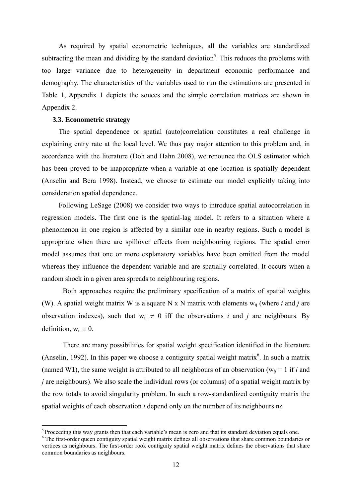As required by spatial econometric techniques, all the variables are standardized subtracting the mean and dividing by the standard deviation<sup>5</sup>. This reduces the problems with too large variance due to heterogeneity in department economic performance and demography. The characteristics of the variables used to run the estimations are presented in Table 1, Appendix 1 depicts the souces and the simple correlation matrices are shown in Appendix 2.

#### **3.3. Econometric strategy**

<u>.</u>

The spatial dependence or spatial (auto)correlation constitutes a real challenge in explaining entry rate at the local level. We thus pay major attention to this problem and, in accordance with the literature (Doh and Hahn 2008), we renounce the OLS estimator which has been proved to be inappropriate when a variable at one location is spatially dependent (Anselin and Bera 1998). Instead, we choose to estimate our model explicitly taking into consideration spatial dependence.

Following LeSage (2008) we consider two ways to introduce spatial autocorrelation in regression models. The first one is the spatial-lag model. It refers to a situation where a phenomenon in one region is affected by a similar one in nearby regions. Such a model is appropriate when there are spillover effects from neighbouring regions. The spatial error model assumes that one or more explanatory variables have been omitted from the model whereas they influence the dependent variable and are spatially correlated. It occurs when a random shock in a given area spreads to neighbouring regions.

Both approaches require the preliminary specification of a matrix of spatial weights (W). A spatial weight matrix W is a square N x N matrix with elements  $w_{ii}$  (where *i* and *j* are observation indexes), such that  $w_{ii} \neq 0$  iff the observations *i* and *j* are neighbours. By definition,  $w_{ii} \equiv 0$ .

There are many possibilities for spatial weight specification identified in the literature (Anselin, 1992). In this paper we choose a contiguity spatial weight matrix<sup>6</sup>. In such a matrix (named W1), the same weight is attributed to all neighbours of an observation ( $w_{ii} = 1$  if *i* and *j* are neighbours). We also scale the individual rows (or columns) of a spatial weight matrix by the row totals to avoid singularity problem. In such a row-standardized contiguity matrix the spatial weights of each observation *i* depend only on the number of its neighbours n*i*:

<sup>&</sup>lt;sup>5</sup> Proceeding this way grants then that each variable's mean is zero and that its standard deviation equals one.

<sup>&</sup>lt;sup>6</sup> The first-order queen contiguity spatial weight matrix defines all observations that share common boundaries or vertices as neighbours. The first-order rook contiguity spatial weight matrix defines the observations that share common boundaries as neighbours.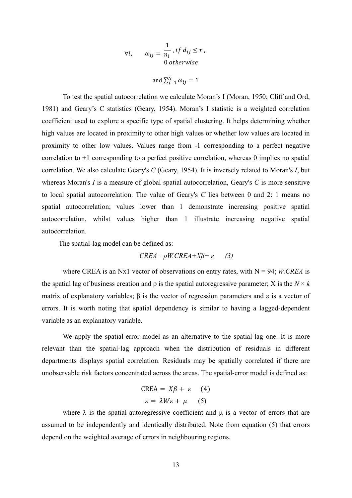$$
\forall i, \qquad \omega_{ij} = \frac{1}{n_i}, \text{if } d_{ij} \le r \,,
$$
  
0 otherwise

and 
$$
\sum_{j=1}^{N} \omega_{ij} = 1
$$

To test the spatial autocorrelation we calculate Moran's I (Moran, 1950; Cliff and Ord, 1981) and Geary's C statistics (Geary, 1954). Moran's I statistic is a weighted correlation coefficient used to explore a specific type of spatial clustering. It helps determining whether high values are located in proximity to other high values or whether low values are located in proximity to other low values. Values range from -1 corresponding to a perfect negative correlation to +1 corresponding to a perfect positive correlation, whereas 0 implies no spatial correlation. We also calculate Geary's *C* (Geary, 1954). It is inversely related to Moran's *I*, but whereas Moran's *I* is a measure of global spatial autocorrelation, Geary's *C* is more sensitive to local spatial autocorrelation. The value of Geary's *C* lies between 0 and 2: 1 means no spatial autocorrelation; values lower than 1 demonstrate increasing positive spatial autocorrelation, whilst values higher than 1 illustrate increasing negative spatial autocorrelation.

The spatial-lag model can be defined as:

$$
CREA = \rho W.CREA + X\beta + \varepsilon \qquad (3)
$$

where CREA is an Nx1 vector of observations on entry rates, with  $N = 94$ ; *W.CREA* is the spatial lag of business creation and  $\rho$  is the spatial autoregressive parameter; X is the  $N \times k$ matrix of explanatory variables; β is the vector of regression parameters and  $ε$  is a vector of errors. It is worth noting that spatial dependency is similar to having a lagged-dependent variable as an explanatory variable.

We apply the spatial-error model as an alternative to the spatial-lag one. It is more relevant than the spatial-lag approach when the distribution of residuals in different departments displays spatial correlation. Residuals may be spatially correlated if there are unobservable risk factors concentrated across the areas. The spatial-error model is defined as:

$$
CREA = X\beta + \varepsilon \quad (4)
$$

$$
\varepsilon = \lambda W\varepsilon + \mu \quad (5)
$$

where  $\lambda$  is the spatial-autoregressive coefficient and  $\mu$  is a vector of errors that are assumed to be independently and identically distributed. Note from equation (5) that errors depend on the weighted average of errors in neighbouring regions.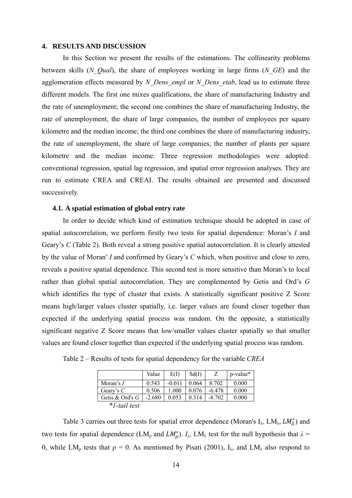#### **4. RESULTS AND DISCUSSION**

In this Section we present the results of the estimations. The collinearity problems between skills (*N\_Qual*), the share of employees working in large firms (*N\_GE*) and the agglomeration effects measured by *N\_Dens\_empl* or *N\_Dens\_etab*, lead us to estimate three different models. The first one mixes qualifications, the share of manufacturing Industry and the rate of unemployment; the second one combines the share of manufacturing Industry, the rate of unemployment, the share of large companies, the number of employees per square kilometre and the median income; the third one combines the share of manufacturing industry, the rate of unemployment, the share of large companies, the number of plants per square kilometre and the median income. Three regression methodologies were adopted: conventional regression, spatial lag regression, and spatial error regression analyses. They are run to estimate CREA and CREAI. The results obtained are presented and discussed successively.

#### **4.1. A spatial estimation of global entry rate**

In order to decide which kind of estimation technique should be adopted in case of spatial autocorrelation, we perform firstly two tests for spatial dependence: Moran's *I* and Geary's *C* (Table 2). Both reveal a strong positive spatial autocorrelation. It is clearly attested by the value of Moran' *I* and confirmed by Geary's *C* which, when positive and close to zero, reveals a positive spatial dependence. This second test is more sensitive than Moran's to local rather than global spatial autocorrelation. They are complemented by Getis and Ord's *G* which identifies the type of cluster that exists. A statistically significant positive Z Score means high/larger values cluster spatially, i.e. larger values are found closer together than expected if the underlying spatial process was random. On the opposite, a statistically significant negative Z Score means that low/smaller values cluster spatially so that smaller values are found closer together than expected if the underlying spatial process was random.

|                   | Value    | E(I)     | Sd(I) |          | p-value* |
|-------------------|----------|----------|-------|----------|----------|
| Moran's $I$       | 0.543    | $-0.011$ | 0.064 | 8 702    | 0.000    |
| Geary's $C$       | 0.506    | 1.000    | 0.076 | $-6.478$ | 0.000    |
| Getis & Ord's $G$ | $-2.680$ | 0.053    | 0.314 | $-8.702$ | 0.000    |
| *1-tail test      |          |          |       |          |          |

Table 2 – Results of tests for spatial dependency for the variable *CREA*

Table 3 carries out three tests for spatial error dependence (Moran's  $I_{\lambda}$ , LM<sub> $\lambda$ </sub>, LM<sub> $\lambda$ </sub>) and two tests for spatial dependence (LM<sub>p</sub> and  $LM_{\rho}^*$ ).  $I_{\lambda}$ , LM<sub> $\lambda$ </sub> test for the null hypothesis that  $\lambda =$ 0, while LM<sub>ρ</sub> tests that  $ρ = 0$ . As mentioned by Pisati (2001), I<sub>λ</sub>, and LM<sub>λ</sub> also respond to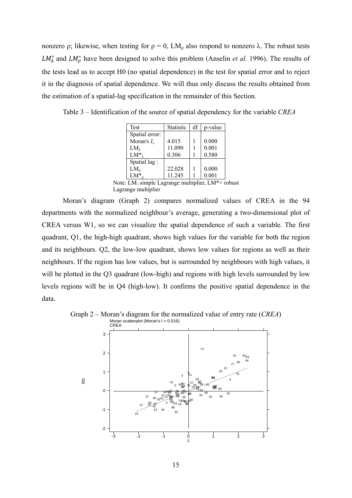nonzero ρ; likewise, when testing for  $ρ = 0$ , LM<sub>ρ</sub> also respond to nonzero  $λ$ . The robust tests  $LM_{\lambda}^{*}$  and  $LM_{\rho}^{*}$  have been designed to solve this problem (Anselin *et al.* 1996). The results of the tests lead us to accept H0 (no spatial dependence) in the test for spatial error and to reject it in the diagnosis of spatial dependence. We will thus only discuss the results obtained from the estimation of a spatial-lag specification in the remainder of this Section.

Table 3 – Identification of the source of spatial dependency for the variable *CREA*

| Test                  | <b>Statistic</b> | df | p-value |
|-----------------------|------------------|----|---------|
| Spatial error:        |                  |    |         |
| Moran's $I_{\lambda}$ | 4.015            |    | 0.000   |
| $LM_{\lambda}$        | 11.090           |    | 0.001   |
| $LM^*_{\lambda}$      | 0.306            |    | 0.580   |
| Spatial lag:          |                  |    |         |
| $LM_{\rho}$           | 22.028           |    | 0.000   |
| $LM^*$                | 11.245           |    | 0.001   |

Note: LM= simple Lagrange multiplier, LM\*= robust Lagrange multiplier

Moran's diagram (Graph 2) compares normalized values of CREA in the 94 departments with the normalized neighbour's average, generating a two-dimensional plot of CREA versus W1, so we can visualize the spatial dependence of such a variable. The first quadrant, Q1, the high-high quadrant, shows high values for the variable for both the region and its neighbours. Q2, the low-low quadrant, shows low values for regions as well as their neighbours. If the region has low values, but is surrounded by neighbours with high values, it will be plotted in the Q3 quadrant (low-high) and regions with high levels surrounded by low levels regions will be in Q4 (high-low). It confirms the positive spatial dependence in the data.



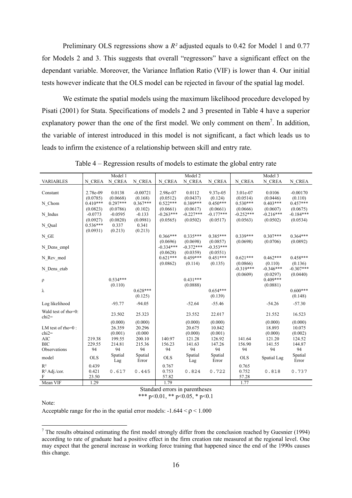Preliminary OLS regressions show a *R²* adjusted equals to 0.42 for Model 1 and 0.77 for Models 2 and 3. This suggests that overall "regressors" have a significant effect on the dependant variable. Moreover, the Variance Inflation Ratio (VIF) is lower than 4. Our initial tests however indicate that the OLS model can be rejected in favour of the spatial lag model.

We estimate the spatial models using the maximum likelihood procedure developed by Pisati (2001) for Stata. Specifications of models 2 and 3 presented in Table 4 have a superior explanatory power than the one of the first model. We only comment on them<sup>7</sup>. In addition, the variable of interest introduced in this model is not significant, a fact which leads us to leads to infirm the existence of a relationship between skill and entry rate.

|                      |            | Model 1    |            |             | Model 2     |             |             | Model 3     |             |
|----------------------|------------|------------|------------|-------------|-------------|-------------|-------------|-------------|-------------|
| <b>VARIABLES</b>     | N CREA     | N CREA     | N CREA     | N CREA      | N CREA      | N CREA      | N CREA      | N CREA      | N CREA      |
|                      |            |            |            |             |             |             |             |             |             |
| Constant             | 2.78e-09   | 0.0138     | $-0.00721$ | 2.98e-07    | 0.0112      | 9.37e-05    | 3.01e-07    | 0.0106      | $-0.00170$  |
|                      | (0.0785)   | (0.0668)   | (0.168)    | (0.0512)    | (0.0437)    | (0.124)     | (0.0514)    | (0.0446)    | (0.110)     |
| N Chom               | $0.410***$ | $0.297***$ | $0.367***$ | $0.522***$  | $0.389***$  | $0.450***$  | $0.530***$  | $0.403***$  | $0.457***$  |
|                      | (0.0823)   | (0.0786)   | (0.102)    | (0.0661)    | (0.0617)    | (0.0661)    | (0.0666)    | (0.0607)    | (0.0675)    |
| N Indus              | $-0.0773$  | $-0.0595$  | $-0.133$   | $-0.263***$ | $-0.227***$ | $-0.177***$ | $-0.252***$ | $-0.216***$ | $-0.184***$ |
|                      | (0.0927)   | (0.0820)   | (0.0981)   | (0.0565)    | (0.0502)    | (0.0517)    | (0.0563)    | (0.0502)    | (0.0534)    |
| N_Qual               | $0.536***$ | 0.337      | 0.341      |             |             |             |             |             |             |
|                      | (0.0931)   | (0.213)    | (0.213)    |             |             |             |             |             |             |
| $N_GE$               |            |            |            | $0.366***$  | $0.335***$  | $0.385***$  | $0.339***$  | $0.307***$  | $0.364***$  |
|                      |            |            |            | (0.0696)    | (0.0698)    | (0.0857)    | (0.0698)    | (0.0706)    | (0.0892)    |
| N Dens empl          |            |            |            | $-0.334***$ | $-0.372***$ | $-0.353***$ |             |             |             |
|                      |            |            |            | (0.0628)    | (0.0359)    | (0.0551)    |             |             |             |
|                      |            |            |            | $0.621***$  | $0.459***$  | $0.451***$  | $0.621***$  | $0.462***$  | $0.458***$  |
| N Rev med            |            |            |            |             |             |             | (0.0866)    | (0.110)     |             |
|                      |            |            |            | (0.0862)    | (0.114)     | (0.135)     | $-0.319***$ |             | (0.136)     |
| N Dens etab          |            |            |            |             |             |             |             | $-0.346***$ | $-0.307***$ |
|                      |            |            |            |             |             |             | (0.0609)    | (0.0297)    | (0.0440)    |
| ρ                    |            | $0.534***$ |            |             | $0.431***$  |             |             | $0.409***$  |             |
|                      |            | (0.110)    |            |             | (0.0888)    |             |             | (0.0881)    |             |
| λ                    |            |            | $0.628***$ |             |             | $0.654***$  |             |             | $0.600***$  |
|                      |            |            | (0.125)    |             |             | (0.139)     |             |             | (0.148)     |
| Log likelihood       |            | $-93.77$   | $-94.05$   |             | $-52.64$    | $-55.46$    |             | $-54.26$    | $-57.30$    |
| Wald test of rho=0:  |            |            |            |             |             |             |             |             |             |
| $chi2=$              |            | 23.502     | 25.323     |             | 23.552      | 22.017      |             | 21.552      | 16.523      |
|                      |            | (0.000)    | (0.000)    |             | (0.000)     | (0.000)     |             | (0.000)     | (0.000)     |
| LM test of $rho=0$ : |            | 26.359     | 20.296     |             | 20.675      | 10.842      |             | 18.893      | 10.075      |
| $chi2=$              |            | (0.001)    | (0.000)    |             | (0.000)     | (0.001)     |             | (0.000)     | (0.002)     |
| <b>AIC</b>           | 219.38     | 199.55     | 200.10     | 140.97      | 121.28      | 126.92      | 141.64      | 121.20      | 124.52      |
| <b>BIC</b>           | 229.55     | 214.81     | 215.36     | 156.23      | 141.63      | 147.26      | 156.90      | 141.55      | 144.87      |
| Observations         | 94         | 94         | 94         | 94          | 94          | 94          | 94          | 94          | 94          |
|                      |            | Spatial    | Spatial    |             | Spatial     | Spatial     |             |             | Spatial     |
| model                | <b>OLS</b> | Lag        | Error      | <b>OLS</b>  | Lag         | Error       | <b>OLS</b>  | Spatial Lag | Error       |
| $R^2$                | 0.439      |            |            | 0.767       |             |             | 0.765       |             |             |
| $R^2$ Adj./cor.      | 0.421      | 0.617      | 0.445      | 0.753       | 0.824       | 0.722       | 0.752       | 0.818       | 0.737       |
| F                    | 23.50      |            |            | 57.82       |             |             | 57.28       |             |             |
| Mean VIF             | 1.29       |            |            | 1.79        |             |             | 1.77        |             |             |
|                      |            |            |            |             |             |             |             |             |             |

Table 4 – Regression results of models to estimate the global entry rate

Standard errors in parentheses

\*\*\* p<0.01, \*\* p<0.05, \* p<0.1

Note:

Acceptable range for rho in the spatial error models:  $-1.644 < \rho < 1.000$ 

The results obtained estimating the first model strongly differ from the conclusion reached by Guesnier (1994) according to rate of graduate had a positive effect in the firm creation rate measured at the regional level. One may expect that the general increase in working force training that happened since the end of the 1990s causes this change.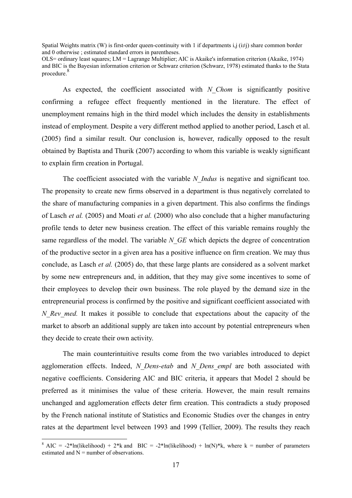Spatial Weights matrix (W) is first-order queen-continuity with 1 if departments i,j (i≠j) share common border and 0 otherwise ; estimated standard errors in parentheses.

OLS= ordinary least squares; LM = Lagrange Multiplier; AIC is Akaike's information criterion (Akaike, 1974) and BIC is the Bayesian information criterion or Schwarz criterion (Schwarz, 1978) estimated thanks to the Stata procedure.<sup>8</sup>

As expected, the coefficient associated with *N\_Chom* is significantly positive confirming a refugee effect frequently mentioned in the literature. The effect of unemployment remains high in the third model which includes the density in establishments instead of employment. Despite a very different method applied to another period, Lasch et al. (2005) find a similar result. Our conclusion is, however, radically opposed to the result obtained by Baptista and Thurik (2007) according to whom this variable is weakly significant to explain firm creation in Portugal.

The coefficient associated with the variable *N\_Indus* is negative and significant too. The propensity to create new firms observed in a department is thus negatively correlated to the share of manufacturing companies in a given department. This also confirms the findings of Lasch *et al.* (2005) and Moati *et al.* (2000) who also conclude that a higher manufacturing profile tends to deter new business creation. The effect of this variable remains roughly the same regardless of the model. The variable *N<sub>GE</sub>* which depicts the degree of concentration of the productive sector in a given area has a positive influence on firm creation. We may thus conclude, as Lasch *et al.* (2005) do, that these large plants are considered as a solvent market by some new entrepreneurs and, in addition, that they may give some incentives to some of their employees to develop their own business. The role played by the demand size in the entrepreneurial process is confirmed by the positive and significant coefficient associated with *N* Rev med. It makes it possible to conclude that expectations about the capacity of the market to absorb an additional supply are taken into account by potential entrepreneurs when they decide to create their own activity.

The main counterintuitive results come from the two variables introduced to depict agglomeration effects. Indeed, *N\_Dens-etab* and *N\_Dens\_empl* are both associated with negative coefficients. Considering AIC and BIC criteria, it appears that Model 2 should be preferred as it minimises the value of these criteria. However, the main result remains unchanged and agglomeration effects deter firm creation. This contradicts a study proposed by the French national institute of Statistics and Economic Studies over the changes in entry rates at the department level between 1993 and 1999 (Tellier, 2009). The results they reach

1

<sup>&</sup>lt;sup>8</sup> AIC = -2\*ln(likelihood) + 2\*k and BIC = -2\*ln(likelihood) + ln(N)\*k, where k = number of parameters estimated and  $N =$  number of observations.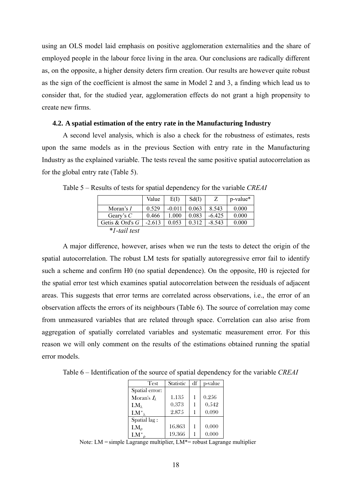using an OLS model laid emphasis on positive agglomeration externalities and the share of employed people in the labour force living in the area. Our conclusions are radically different as, on the opposite, a higher density deters firm creation. Our results are however quite robust as the sign of the coefficient is almost the same in Model 2 and 3, a finding which lead us to consider that, for the studied year, agglomeration effects do not grant a high propensity to create new firms.

#### **4.2. A spatial estimation of the entry rate in the Manufacturing Industry**

A second level analysis, which is also a check for the robustness of estimates, rests upon the same models as in the previous Section with entry rate in the Manufacturing Industry as the explained variable. The tests reveal the same positive spatial autocorrelation as for the global entry rate (Table 5).

|                   | Value    | E(I)     | Sd(I) | Ζ        | p-value* |
|-------------------|----------|----------|-------|----------|----------|
| Moran's $I$       | 0.529    | $-0.011$ | 0.063 | 8.543    | 0.000    |
| Geary's $C$       | 0.466    | L.000    | 0.083 | $-6.425$ | 0.000    |
| Getis & Ord's $G$ | $-2.613$ | 0.053    | 0.312 | $-8.543$ | 0.000    |
| *1-tail test      |          |          |       |          |          |

Table 5 – Results of tests for spatial dependency for the variable *CREAI* 

A major difference, however, arises when we run the tests to detect the origin of the spatial autocorrelation. The robust LM tests for spatially autoregressive error fail to identify such a scheme and confirm H0 (no spatial dependence). On the opposite, H0 is rejected for the spatial error test which examines spatial autocorrelation between the residuals of adjacent areas. This suggests that error terms are correlated across observations, i.e., the error of an observation affects the errors of its neighbours (Table 6). The source of correlation may come from unmeasured variables that are related through space. Correlation can also arise from aggregation of spatially correlated variables and systematic measurement error. For this reason we will only comment on the results of the estimations obtained running the spatial error models.

Table 6 – Identification of the source of spatial dependency for the variable *CREAI* 

| <b>Test</b>           | <b>Statistic</b> | df | p-value |
|-----------------------|------------------|----|---------|
| Spatial error:        |                  |    |         |
| Moran's $I_{\lambda}$ | 1.135            | 1  | 0.256   |
| $LM_{\lambda}$        | 0.373            | 1  | 0.542   |
| $LM^*_{\lambda}$      | 2.875            |    | 0.090   |
| Spatial lag:          |                  |    |         |
| $LM_0$                | 16.863           | 1  | 0.000   |
| $LM^*$                | 19.366           |    | 0.000   |

Note: LM = simple Lagrange multiplier, LM\*= robust Lagrange multiplier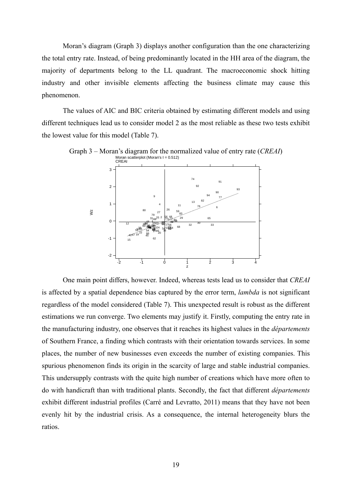Moran's diagram (Graph 3) displays another configuration than the one characterizing the total entry rate. Instead, of being predominantly located in the HH area of the diagram, the majority of departments belong to the LL quadrant. The macroeconomic shock hitting industry and other invisible elements affecting the business climate may cause this phenomenon.

The values of AIC and BIC criteria obtained by estimating different models and using different techniques lead us to consider model 2 as the most reliable as these two tests exhibit the lowest value for this model (Table 7).



Graph 3 – Moran's diagram for the normalized value of entry rate (*CREAI*)

One main point differs, however. Indeed, whereas tests lead us to consider that *CREAI* is affected by a spatial dependence bias captured by the error term, *lambda* is not significant regardless of the model considered (Table 7). This unexpected result is robust as the different estimations we run converge. Two elements may justify it. Firstly, computing the entry rate in the manufacturing industry, one observes that it reaches its highest values in the *départements* of Southern France, a finding which contrasts with their orientation towards services. In some places, the number of new businesses even exceeds the number of existing companies. This spurious phenomenon finds its origin in the scarcity of large and stable industrial companies. This undersupply contrasts with the quite high number of creations which have more often to do with handicraft than with traditional plants. Secondly, the fact that different *départements* exhibit different industrial profiles (Carré and Levratto, 2011) means that they have not been evenly hit by the industrial crisis. As a consequence, the internal heterogeneity blurs the ratios.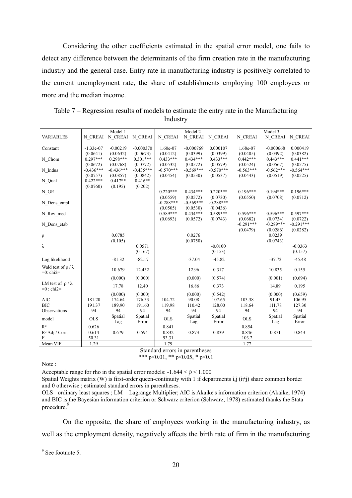Considering the other coefficients estimated in the spatial error model, one fails to detect any difference between the determinants of the firm creation rate in the manufacturing industry and the general case. Entry rate in manufacturing industry is positively correlated to the current unemployment rate, the share of establishments employing 100 employees or more and the median income.

|                               |                         | Model 1        |                  |                        | Model 2                |                        |                        | Model 3                |                        |
|-------------------------------|-------------------------|----------------|------------------|------------------------|------------------------|------------------------|------------------------|------------------------|------------------------|
| <b>VARIABLES</b>              | N CREAI                 |                | N CREAI N CREAI  | N CREAI                | N CREAI                | N CREAI                | N CREAI                |                        | N_CREAI N_CREAI        |
|                               |                         | $-0.00219$     | $-0.000370$      |                        | $-0.000769$            | 0.000107               |                        | $-0.000668$            | 0.000419               |
| Constant                      | $-1.33e-07$<br>(0.0641) | (0.0632)       | (0.0673)         | $1.60e-07$<br>(0.0412) | (0.0399)               | (0.0399)               | 1.68e-07<br>(0.0405)   | (0.0392)               | (0.0382)               |
| N Chom                        | $0.297***$              | $0.298***$     | $0.301***$       | $0.433***$             | $0.434***$             | $0.433***$             | $0.442***$             | $0.443***$             | $0.441***$             |
|                               | (0.0672)                | (0.0768)       | (0.0772)         | (0.0532)               | (0.0572)               | (0.0579)               | (0.0524)               | (0.0567)               | (0.0575)               |
| N_Indus                       | $-0.436***$             | $-0.436***$    | $-0.435***$      | $-0.570***$            | $-0.569***$            | $-0.570***$            | $-0.563***$            | $-0.562***$            | $-0.564***$            |
|                               | (0.0757)                | (0.0857)       | (0.0842)         | (0.0454)               | (0.0530)               | (0.0537)               | (0.0443)               | (0.0519)               | (0.0525)               |
| N_Qual                        | $0.422***$              | $0.417**$      | $0.416**$        |                        |                        |                        |                        |                        |                        |
|                               | (0.0760)                | (0.195)        | (0.202)          |                        |                        |                        |                        |                        |                        |
| $N_GE$                        |                         |                |                  | $0.220***$<br>(0.0559) | $0.434***$<br>(0.0572) | $0.220***$<br>(0.0730) | $0.196***$<br>(0.0550) | $0.194***$<br>(0.0708) | $0.196***$<br>(0.0712) |
| N Dens empl                   |                         |                |                  | $-0.288***$            | $-0.569***$            | $-0.288***$            |                        |                        |                        |
|                               |                         |                |                  | (0.0505)               | (0.0530)               | (0.0436)               |                        |                        |                        |
| N Rev med                     |                         |                |                  | $0.589***$             | $0.434***$             | $0.589***$             | $0.596***$             | $0.596***$             | $0.597***$             |
|                               |                         |                |                  | (0.0693)               | (0.0572)               | (0.0743)               | (0.0682)               | (0.0734)               | (0.0722)               |
| N Dens etab                   |                         |                |                  |                        |                        |                        | $-0.291***$            | $-0.289***$            | $-0.291***$            |
|                               |                         |                |                  |                        |                        |                        | (0.0479)               | (0.0286)               | (0.0282)               |
| ρ                             |                         | 0.0785         |                  |                        | 0.0276                 |                        |                        | 0.0239                 |                        |
| λ                             |                         | (0.105)        | 0.0571           |                        | (0.0750)               | $-0.0100$              |                        | (0.0743)               | $-0.0363$              |
|                               |                         |                | (0.167)          |                        |                        | (0.153)                |                        |                        | (0.157)                |
|                               |                         | $-81.32$       | $-82.17$         |                        | $-37.04$               | $-45.82$               |                        | $-37.72$               | $-45.48$               |
| Log likelihood                |                         |                |                  |                        |                        |                        |                        |                        |                        |
| Wald test of $\rho / \lambda$ |                         | 10.679         | 12.432           |                        | 12.96                  | 0.317                  |                        | 10.835                 | 0.155                  |
| $=0$ : chi $2=$               |                         | (0.000)        | (0.000)          |                        | (0.000)                | (0.574)                |                        | (0.001)                | (0.694)                |
| LM test of $\rho/\lambda$     |                         |                |                  |                        |                        |                        |                        |                        |                        |
| $=0$ : chi $2=$               |                         | 17.78          | 12.40            |                        | 16.86                  | 0.373                  |                        | 14.89                  | 0.195                  |
|                               |                         | (0.000)        | (0.000)          |                        | (0.000)                | (0.542)                |                        | (0.000)                | (0.659)                |
| <b>AIC</b>                    | 181.20                  | 174.64         | 176.33           | 104.72                 | 90.08                  | 107.65                 | 103.38                 | 91.43                  | 106.95                 |
| <b>BIC</b>                    | 191.37                  | 189.90         | 191.60           | 119.98                 | 110.42                 | 128.00                 | 118.64                 | 111.78                 | 127.30                 |
| Observations                  | 94                      | 94             | 94               | 94                     | 94                     | 94                     | 94                     | 94                     | 94                     |
| model                         | <b>OLS</b>              | Spatial<br>Lag | Spatial<br>Error | <b>OLS</b>             | Spatial<br>Lag         | Spatial<br>Error       | <b>OLS</b>             | Spatial<br>Lag         | Spatial<br>Error       |
| $R^2$                         | 0.626                   |                |                  | 0.841                  |                        |                        | 0.854                  |                        |                        |
| $R^2$ Adj./ Corr.             | 0.614                   | 0.679          | 0.594            | 0.832                  | 0.873                  | 0.839                  | 0.846                  | 0.871                  | 0.843                  |
| F                             | 50.31                   |                |                  | 93.31                  |                        |                        | 103.2                  |                        |                        |
| Mean VIF                      | 1.29                    |                |                  | 1.79                   |                        |                        | 1.77                   |                        |                        |

Table 7 – Regression results of models to estimate the entry rate in the Manufacturing Industry

Standard errors in parentheses

\*\*\* p<0.01, \*\* p<0.05, \* p<0.1

Note :

Acceptable range for rho in the spatial error models:  $-1.644 < p < 1.000$ 

Spatial Weights matrix (W) is first-order queen-continuity with 1 if departments i,j (i≠j) share common border and 0 otherwise ; estimated standard errors in parentheses.

OLS= ordinary least squares ; LM = Lagrange Multiplier; AIC is Akaike's information criterion (Akaike, 1974) and BIC is the Bayesian information criterion or Schwarz criterion (Schwarz, 1978) estimated thanks the Stata procedure.<sup>9</sup>

On the opposite, the share of employees working in the manufacturing industry, as well as the employment density, negatively affects the birth rate of firm in the manufacturing

 $\frac{9}{9}$  See footnote 5.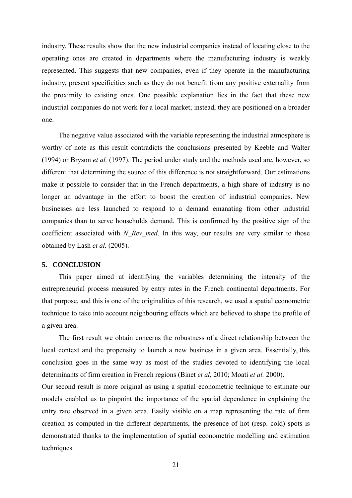industry. These results show that the new industrial companies instead of locating close to the operating ones are created in departments where the manufacturing industry is weakly represented. This suggests that new companies, even if they operate in the manufacturing industry, present specificities such as they do not benefit from any positive externality from the proximity to existing ones. One possible explanation lies in the fact that these new industrial companies do not work for a local market; instead, they are positioned on a broader one.

The negative value associated with the variable representing the industrial atmosphere is worthy of note as this result contradicts the conclusions presented by Keeble and Walter (1994) or Bryson *et al.* (1997). The period under study and the methods used are, however, so different that determining the source of this difference is not straightforward. Our estimations make it possible to consider that in the French departments, a high share of industry is no longer an advantage in the effort to boost the creation of industrial companies. New businesses are less launched to respond to a demand emanating from other industrial companies than to serve households demand. This is confirmed by the positive sign of the coefficient associated with *N\_Rev\_med*. In this way, our results are very similar to those obtained by Lash *et al.* (2005).

#### **5. CONCLUSION**

This paper aimed at identifying the variables determining the intensity of the entrepreneurial process measured by entry rates in the French continental departments. For that purpose, and this is one of the originalities of this research, we used a spatial econometric technique to take into account neighbouring effects which are believed to shape the profile of a given area.

The first result we obtain concerns the robustness of a direct relationship between the local context and the propensity to launch a new business in a given area. Essentially, this conclusion goes in the same way as most of the studies devoted to identifying the local determinants of firm creation in French regions (Binet *et al,* 2010; Moati *et al.* 2000).

Our second result is more original as using a spatial econometric technique to estimate our models enabled us to pinpoint the importance of the spatial dependence in explaining the entry rate observed in a given area. Easily visible on a map representing the rate of firm creation as computed in the different departments, the presence of hot (resp. cold) spots is demonstrated thanks to the implementation of spatial econometric modelling and estimation techniques.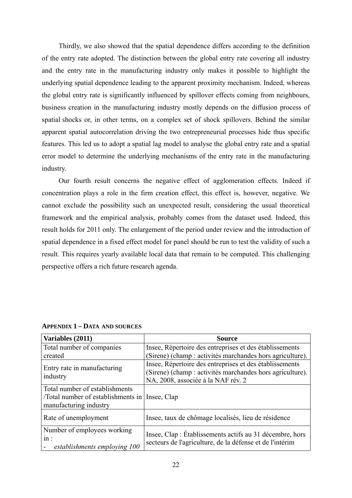Thirdly, we also showed that the spatial dependence differs according to the definition of the entry rate adopted. The distinction between the global entry rate covering all industry and the entry rate in the manufacturing industry only makes it possible to highlight the underlying spatial dependence leading to the apparent proximity mechanism. Indeed, whereas the global entry rate is significantly influenced by spillover effects coming from neighbours, business creation in the manufacturing industry mostly depends on the diffusion process of spatial shocks or, in other terms, on a complex set of shock spillovers. Behind the similar apparent spatial autocorrelation driving the two entrepreneurial processes hide thus specific features. This led us to adopt a spatial lag model to analyse the global entry rate and a spatial error model to determine the underlying mechanisms of the entry rate in the manufacturing industry.

Our fourth result concerns the negative effect of agglomeration effects. Indeed if concentration plays a role in the firm creation effect, this effect is, however, negative. We cannot exclude the possibility such an unexpected result, considering the usual theoretical framework and the empirical analysis, probably comes from the dataset used. Indeed, this result holds for 2011 only. The enlargement of the period under review and the introduction of spatial dependence in a fixed effect model for panel should be run to test the validity of such a result. This requires yearly available local data that remain to be computed. This challenging perspective offers a rich future research agenda.

| Variables (2011)                                                   | <b>Source</b>                                                                                                        |  |  |  |  |
|--------------------------------------------------------------------|----------------------------------------------------------------------------------------------------------------------|--|--|--|--|
| Total number of companies                                          | Insee, Répertoire des entreprises et des établissements                                                              |  |  |  |  |
| created                                                            | (Sirene) (champ : activités marchandes hors agriculture).                                                            |  |  |  |  |
|                                                                    | Insee, Répertoire des entreprises et des établissements                                                              |  |  |  |  |
| Entry rate in manufacturing                                        | (Sirene) (champ : activités marchandes hors agriculture).                                                            |  |  |  |  |
| industry                                                           | NA, 2008, associée à la NAF rév. 2                                                                                   |  |  |  |  |
| Total number of establishments                                     |                                                                                                                      |  |  |  |  |
| Total number of establishments in                                  | Insee, Clap                                                                                                          |  |  |  |  |
| manufacturing industry                                             |                                                                                                                      |  |  |  |  |
| Rate of unemployment                                               | Insee, taux de chômage localisés, lieu de résidence                                                                  |  |  |  |  |
| Number of employees working<br>in:<br>establishments employing 100 | Insee, Clap : Établissements actifs au 31 décembre, hors<br>secteurs de l'agriculture, de la défense et de l'intérim |  |  |  |  |

#### **APPENDIX 1 – DATA AND SOURCES**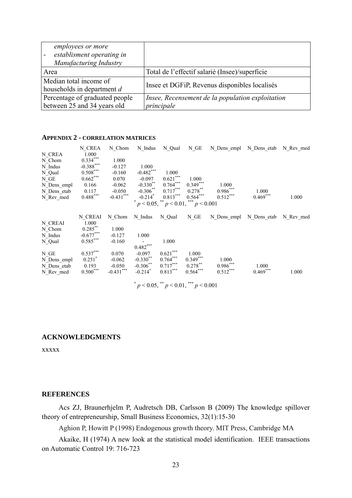| <i>employees or more</i><br>establisment operating in<br>Manufacturing Industry |                                                  |
|---------------------------------------------------------------------------------|--------------------------------------------------|
| Area                                                                            | Total de l'effectif salarié (Insee)/superficie   |
| Median total income of<br>households in department d                            | Insee et DGFiP, Revenus disponibles localisés    |
| Percentage of graduated people                                                  | Insee, Recensement de la population exploitation |
| between 25 and 34 years old                                                     | principale                                       |

#### **APPENDIX 2 - CORRELATION MATRICES**

| N CREA<br>N Chom<br>N Indus<br>N Qual<br>N GE<br>N Dens empl<br>N Dens etab<br>N Rev med | N CREA<br>1.000<br>$0.334***$<br>$-0.388$ ***<br>$0.508***$<br>$0.662***$<br>0.166<br>0.117<br>$0.488***$ | N Chom<br>1.000<br>$-0.127$<br>$-0.160$<br>0.070<br>$-0.062$<br>$-0.050$<br>$-0.431$ *** | N Indus<br>1.000<br>$-0.482***$<br>$-0.097$<br>$-0.330**$<br>$-0.306$ **<br>$-0.214$ <sup>*</sup> | N Qual<br>1.000<br>$0.621***$<br>$0.764***$<br>$0.717***$<br>$0.813***$<br>$p < 0.05$ , ** $p < 0.01$ , *** $p < 0.001$ | N GE<br>1.000<br>$0.349***$<br>$0.278***$<br>$0.564***$ | 1.000<br>$0.986***$<br>$0.512***$ | N Dens empl N Dens etab N Rev med<br>1.000<br>$0.469***$ | 1.000     |
|------------------------------------------------------------------------------------------|-----------------------------------------------------------------------------------------------------------|------------------------------------------------------------------------------------------|---------------------------------------------------------------------------------------------------|-------------------------------------------------------------------------------------------------------------------------|---------------------------------------------------------|-----------------------------------|----------------------------------------------------------|-----------|
| N CREAI<br>N Chom<br>N Indus<br>N_Qual                                                   | N CREAI<br>1.000<br>$0.285***$<br>$-0.677***$<br>$0.585***$                                               | N Chom<br>1.000<br>$-0.127$<br>$-0.160$                                                  | N Indus<br>1.000<br>$0.482***$                                                                    | N Qual<br>1.000                                                                                                         | $N_GE$                                                  | N Dens empl N Dens etab           |                                                          | N Rev med |
| N GE<br>N Dens empl<br>N Dens etab<br>N Rev med                                          | $0.537***$<br>$0.251$ <sup>*</sup><br>0.193<br>$0.500***$                                                 | 0.070<br>$-0.062$<br>$-0.050$<br>$-0.431$ ***                                            | $-0.097$<br>$-0.330$ **<br>$-0.306***$<br>$-0.214$ <sup>*</sup>                                   | $0.621***$<br>$0.764***$<br>$0.717***$<br>$0.813***$                                                                    | 1.000<br>$0.349***$<br>$0.278***$<br>$0.564***$         | 1.000<br>$0.986***$<br>$0.512***$ | 1.000<br>$0.469***$                                      | 1.000     |

 $p < 0.05$ ,  $p < 0.01$ ,  $p < 0.001$ 

#### **ACKNOWLEDGMENTS**

xxxxx

#### **REFERENCES**

Acs ZJ, Braunerhjelm P, Audretsch DB, Carlsson B (2009) The knowledge spillover theory of entrepreneurship, Small Business Economics, 32(1):15-30

Aghion P, Howitt P (1998) Endogenous growth theory. MIT Press, Cambridge MA

Akaike, H (1974) A new look at the statistical model identification. IEEE transactions on Automatic Control 19: 716-723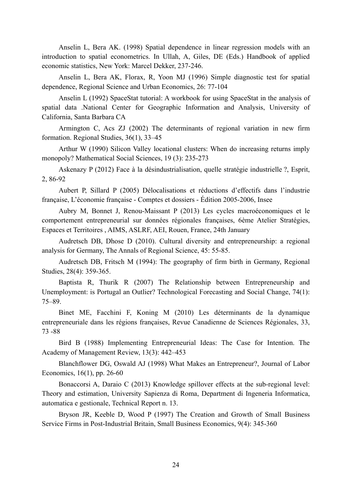Anselin L, Bera AK. (1998) Spatial dependence in linear regression models with an introduction to spatial econometrics. In Ullah, A, Giles, DE (Eds.) Handbook of applied economic statistics, New York: Marcel Dekker, 237-246.

Anselin L, Bera AK, Florax, R, Yoon MJ (1996) Simple diagnostic test for spatial dependence, Regional Science and Urban Economics, 26: 77-104

Anselin L (1992) SpaceStat tutorial: A workbook for using SpaceStat in the analysis of spatial data .National Center for Geographic Information and Analysis, University of California, Santa Barbara CA

Armington C, Acs ZJ (2002) The determinants of regional variation in new firm formation. Regional Studies, 36(1), 33–45

Arthur W (1990) Silicon Valley locational clusters: When do increasing returns imply monopoly? Mathematical Social Sciences, 19 (3): 235-273

Askenazy P (2012) Face à la désindustrialisation, quelle stratégie industrielle ?, Esprit, 2, 86-92

Aubert P, Sillard P (2005) Délocalisations et réductions d'effectifs dans l'industrie française, L'économie française - Comptes et dossiers - Édition 2005-2006, Insee

Aubry M, Bonnet J, Renou-Maissant P (2013) Les cycles macroéconomiques et le comportement entrepreneurial sur données régionales françaises, 6ème Atelier Stratégies, Espaces et Territoires , AIMS, ASLRF, AEI, Rouen, France, 24th January

Audretsch DB, Dhose D (2010). Cultural diversity and entrepreneurship: a regional analysis for Germany, The Annals of Regional Science, 45: 55-85.

Audretsch DB, Fritsch M (1994): The geography of firm birth in Germany, Regional Studies, 28(4): 359-365.

Baptista R, Thurik R (2007) The Relationship between Entrepreneurship and Unemployment: is Portugal an Outlier? Technological Forecasting and Social Change, 74(1): 75–89.

Binet ME, Facchini F, Koning M (2010) Les déterminants de la dynamique entrepreneuriale dans les régions françaises, Revue Canadienne de Sciences Régionales, 33, 73 -88

Bird B (1988) Implementing Entrepreneurial Ideas: The Case for Intention. The Academy of Management Review, 13(3): 442–453

Blanchflower DG, Oswald AJ (1998) What Makes an Entrepreneur?, Journal of Labor Economics, 16(1), pp. 26-60

Bonaccorsi A, Daraio C (2013) Knowledge spillover effects at the sub-regional level: Theory and estimation, University Sapienza di Roma, Department di Ingeneria Informatica, automatica e gestionale, Technical Report n. 13.

Bryson JR, Keeble D, Wood P (1997) The Creation and Growth of Small Business Service Firms in Post-Industrial Britain, Small Business Economics, 9(4): 345-360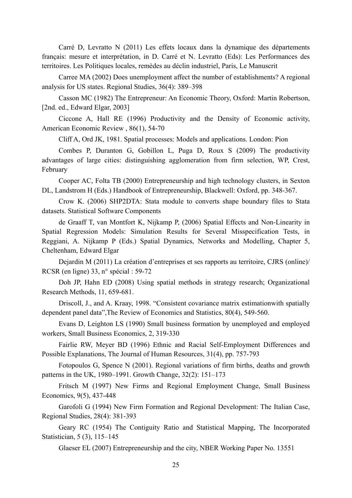Carré D, Levratto N (2011) Les effets locaux dans la dynamique des départements français: mesure et interprétation, in D. Carré et N. Levratto (Eds): Les Performances des territoires. Les Politiques locales, remèdes au déclin industriel, Paris, Le Manuscrit

Carree MA (2002) Does unemployment affect the number of establishments? A regional analysis for US states. Regional Studies, 36(4): 389–398

Casson MC (1982) The Entrepreneur: An Economic Theory, Oxford: Martin Robertson, [2nd. ed., Edward Elgar, 2003]

Ciccone A, Hall RE (1996) Productivity and the Density of Economic activity, American Economic Review , 86(1), 54-70

Cliff A, Ord JK, 1981. Spatial processes: Models and applications. London: Pion

Combes P, Duranton G, Gobillon L, Puga D, Roux S (2009) The productivity advantages of large cities: distinguishing agglomeration from firm selection, WP, Crest, February

Cooper AC, Folta TB (2000) Entrepreneurship and high technology clusters, in Sexton DL, Landstrom H (Eds.) Handbook of Entrepreneurship, Blackwell: Oxford, pp. 348-367.

Crow K. (2006) SHP2DTA: Stata module to converts shape boundary files to Stata datasets. Statistical Software Components

de Graaff T, van Montfort K, Nijkamp P, (2006) Spatial Effects and Non-Linearity in Spatial Regression Models: Simulation Results for Several Misspecification Tests, in Reggiani, A. Nijkamp P (Eds.) Spatial Dynamics, Networks and Modelling, Chapter 5, Cheltenham, Edward Elgar

Dejardin M (2011) La création d'entreprises et ses rapports au territoire, CJRS (online)/ RCSR (en ligne) 33, n° spécial : 59-72

Doh JP, Hahn ED (2008) Using spatial methods in strategy research; Organizational Research Methods, 11, 659-681.

Driscoll, J., and A. Kraay, 1998. "Consistent covariance matrix estimationwith spatially dependent panel data",The Review of Economics and Statistics, 80(4), 549-560.

Evans D, Leighton LS (1990) Small business formation by unemployed and employed workers, Small Business Economics, 2, 319-330

Fairlie RW, Meyer BD (1996) Ethnic and Racial Self-Employment Differences and Possible Explanations, The Journal of Human Resources, 31(4), pp. 757-793

Fotopoulos G, Spence N (2001). Regional variations of firm births, deaths and growth patterns in the UK, 1980–1991. Growth Change, 32(2): 151–173

Fritsch M (1997) New Firms and Regional Employment Change, Small Business Economics, 9(5), 437-448

Garofoli G (1994) New Firm Formation and Regional Development: The Italian Case, Regional Studies, 28(4): 381-393

Geary RC (1954) The Contiguity Ratio and Statistical Mapping, The Incorporated Statistician, 5 (3), 115–145

Glaeser EL (2007) Entrepreneurship and the city, NBER Working Paper No. 13551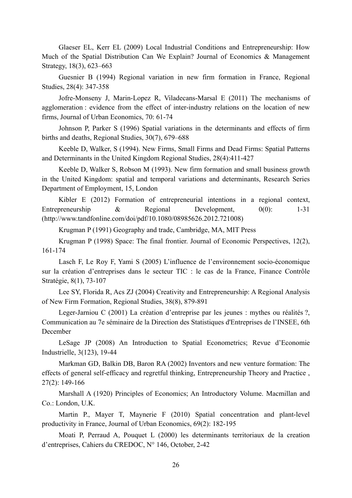Glaeser EL, Kerr EL (2009) Local Industrial Conditions and Entrepreneurship: How Much of the Spatial Distribution Can We Explain? Journal of Economics & Management Strategy, 18(3), 623–663

Guesnier B (1994) Regional variation in new firm formation in France, Regional Studies, 28(4): 347-358

Jofre-Monseny J, Marin-Lopez R, Viladecans-Marsal E (2011) The mechanisms of agglomeration : evidence from the effect of inter-industry relations on the location of new firms, Journal of Urban Economics, 70: 61-74

Johnson P, Parker S (1996) Spatial variations in the determinants and effects of firm births and deaths, Regional Studies, 30(7), 679–688

Keeble D, Walker, S (1994). New Firms, Small Firms and Dead Firms: Spatial Patterns and Determinants in the United Kingdom Regional Studies, 28(4):411-427

Keeble D, Walker S, Robson M (1993). New firm formation and small business growth in the United Kingdom: spatial and temporal variations and determinants, Research Series Department of Employment, 15, London

Kibler E (2012) Formation of entrepreneurial intentions in a regional context, Entrepreneurship & Regional Development,  $0(0)$ : 1-31 (http://www.tandfonline.com/doi/pdf/10.1080/08985626.2012.721008)

Krugman P (1991) Geography and trade, Cambridge, MA, MIT Press

Krugman P (1998) Space: The final frontier. Journal of Economic Perspectives, 12(2), 161-174

Lasch F, Le Roy F, Yami S (2005) L'influence de l'environnement socio-économique sur la création d'entreprises dans le secteur TIC : le cas de la France, Finance Contrôle Stratégie, 8(1), 73-107

Lee SY, Florida R, Acs ZJ (2004) Creativity and Entrepreneurship: A Regional Analysis of New Firm Formation, Regional Studies, 38(8), 879-891

Leger-Jarniou C (2001) La création d'entreprise par les jeunes : mythes ou réalités ?, Communication au 7e séminaire de la Direction des Statistiques d'Entreprises de l'INSEE, 6th December

LeSage JP (2008) An Introduction to Spatial Econometrics; Revue d'Economie Industrielle, 3(123), 19-44

Markman GD, Balkin DB, Baron RA (2002) Inventors and new venture formation: The effects of general self-efficacy and regretful thinking, Entrepreneurship Theory and Practice , 27(2): 149-166

Marshall A (1920) Principles of Economics; An Introductory Volume. Macmillan and Co.: London, U.K.

Martin P., Mayer T, Maynerie F (2010) Spatial concentration and plant-level productivity in France, Journal of Urban Economics, 69(2): 182-195

Moati P, Perraud A, Pouquet L (2000) les determinants territoriaux de la creation d'entreprises, Cahiers du CREDOC, N° 146, October, 2-42